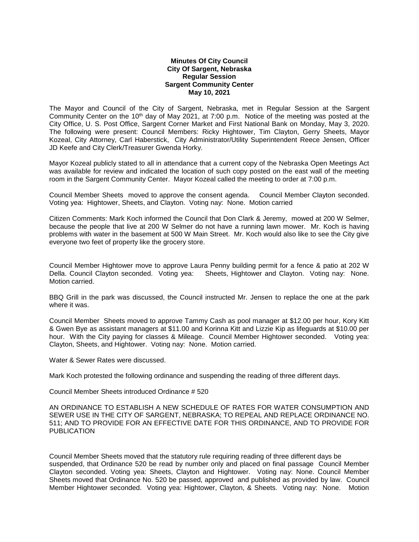## **Minutes Of City Council City Of Sargent, Nebraska Regular Session Sargent Community Center May 10, 2021**

The Mayor and Council of the City of Sargent, Nebraska, met in Regular Session at the Sargent Community Center on the 10th day of May 2021, at 7:00 p.m. Notice of the meeting was posted at the City Office, U. S. Post Office, Sargent Corner Market and First National Bank on Monday, May 3, 2020. The following were present: Council Members: Ricky Hightower, Tim Clayton, Gerry Sheets, Mayor Kozeal, City Attorney, Carl Haberstick, City Administrator/Utility Superintendent Reece Jensen, Officer JD Keefe and City Clerk/Treasurer Gwenda Horky.

Mayor Kozeal publicly stated to all in attendance that a current copy of the Nebraska Open Meetings Act was available for review and indicated the location of such copy posted on the east wall of the meeting room in the Sargent Community Center. Mayor Kozeal called the meeting to order at 7:00 p.m.

Council Member Sheets moved to approve the consent agenda. Council Member Clayton seconded. Voting yea: Hightower, Sheets, and Clayton. Voting nay: None. Motion carried

Citizen Comments: Mark Koch informed the Council that Don Clark & Jeremy, mowed at 200 W Selmer, because the people that live at 200 W Selmer do not have a running lawn mower. Mr. Koch is having problems with water in the basement at 500 W Main Street. Mr. Koch would also like to see the City give everyone two feet of property like the grocery store.

Council Member Hightower move to approve Laura Penny building permit for a fence & patio at 202 W Della. Council Clayton seconded. Voting yea: Sheets, Hightower and Clayton. Voting nay: None. Motion carried.

BBQ Grill in the park was discussed, the Council instructed Mr. Jensen to replace the one at the park where it was.

Council Member Sheets moved to approve Tammy Cash as pool manager at \$12.00 per hour, Kory Kitt & Gwen Bye as assistant managers at \$11.00 and Korinna Kitt and Lizzie Kip as lifeguards at \$10.00 per hour. With the City paying for classes & Mileage. Council Member Hightower seconded. Voting yea: Clayton, Sheets, and Hightower. Voting nay: None. Motion carried.

Water & Sewer Rates were discussed.

Mark Koch protested the following ordinance and suspending the reading of three different days.

Council Member Sheets introduced Ordinance # 520

AN ORDINANCE TO ESTABLISH A NEW SCHEDULE OF RATES FOR WATER CONSUMPTION AND SEWER USE IN THE CITY OF SARGENT, NEBRASKA; TO REPEAL AND REPLACE ORDINANCE NO. 511; AND TO PROVIDE FOR AN EFFECTIVE DATE FOR THIS ORDINANCE, AND TO PROVIDE FOR PUBLICATION

Council Member Sheets moved that the statutory rule requiring reading of three different days be suspended, that Ordinance 520 be read by number only and placed on final passage Council Member Clayton seconded. Voting yea: Sheets, Clayton and Hightower. Voting nay: None. Council Member Sheets moved that Ordinance No. 520 be passed, approved and published as provided by law. Council Member Hightower seconded. Voting yea: Hightower, Clayton, & Sheets. Voting nay: None. Motion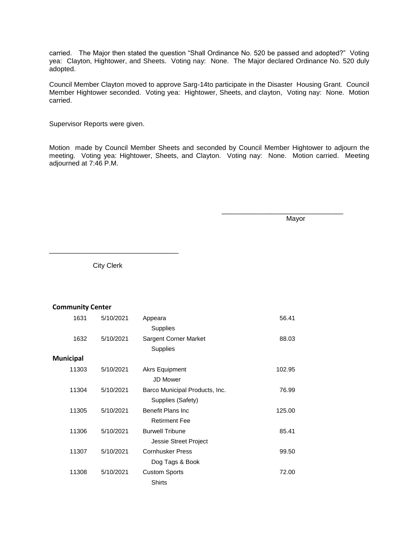carried. The Major then stated the question "Shall Ordinance No. 520 be passed and adopted?" Voting yea: Clayton, Hightower, and Sheets. Voting nay: None. The Major declared Ordinance No. 520 duly adopted.

Council Member Clayton moved to approve Sarg-14to participate in the Disaster Housing Grant. Council Member Hightower seconded. Voting yea: Hightower, Sheets, and clayton, Voting nay: None. Motion carried.

Supervisor Reports were given.

Motion made by Council Member Sheets and seconded by Council Member Hightower to adjourn the meeting. Voting yea: Hightower, Sheets, and Clayton. Voting nay: None. Motion carried. Meeting adjourned at 7:46 P.M.

Mayor

\_\_\_\_\_\_\_\_\_\_\_\_\_\_\_\_\_\_\_\_\_\_\_\_\_\_\_\_\_\_\_\_

City Clerk

\_\_\_\_\_\_\_\_\_\_\_\_\_\_\_\_\_\_\_\_\_\_\_\_\_\_\_\_\_\_\_\_\_\_

## **Community Center**

| 1631      | 5/10/2021 | Appeara                        | 56.41  |
|-----------|-----------|--------------------------------|--------|
|           |           | <b>Supplies</b>                |        |
| 1632      | 5/10/2021 | Sargent Corner Market          | 88.03  |
|           |           | Supplies                       |        |
| Municipal |           |                                |        |
| 11303     | 5/10/2021 | Akrs Equipment                 | 102.95 |
|           |           | JD Mower                       |        |
| 11304     | 5/10/2021 | Barco Municipal Products, Inc. | 76.99  |
|           |           | Supplies (Safety)              |        |
| 11305     | 5/10/2021 | Benefit Plans Inc              | 125.00 |
|           |           | <b>Retirment Fee</b>           |        |
| 11306     | 5/10/2021 | <b>Burwell Tribune</b>         | 85.41  |
|           |           | Jessie Street Project          |        |
| 11307     | 5/10/2021 | <b>Cornhusker Press</b>        | 99.50  |
|           |           | Dog Tags & Book                |        |
| 11308     | 5/10/2021 | <b>Custom Sports</b>           | 72.00  |
|           |           | Shirts                         |        |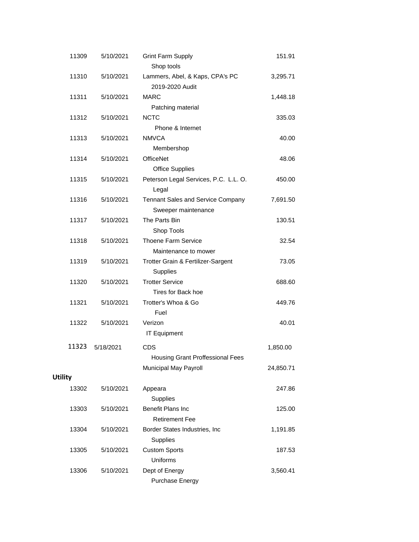| 11309          | 5/10/2021 | <b>Grint Farm Supply</b><br>Shop tools         | 151.91    |
|----------------|-----------|------------------------------------------------|-----------|
| 11310          | 5/10/2021 | Lammers, Abel, & Kaps, CPA's PC                |           |
|                |           | 2019-2020 Audit                                | 3,295.71  |
| 11311          | 5/10/2021 | <b>MARC</b>                                    | 1,448.18  |
|                |           | Patching material                              |           |
| 11312          | 5/10/2021 | <b>NCTC</b>                                    | 335.03    |
|                |           | Phone & Internet                               |           |
| 11313          | 5/10/2021 | <b>NMVCA</b>                                   | 40.00     |
|                |           | Membershop                                     |           |
| 11314          | 5/10/2021 | <b>OfficeNet</b>                               | 48.06     |
|                |           | <b>Office Supplies</b>                         |           |
| 11315          | 5/10/2021 |                                                |           |
|                |           | Peterson Legal Services, P.C. L.L. O.<br>Legal | 450.00    |
| 11316          | 5/10/2021 | Tennant Sales and Service Company              | 7,691.50  |
|                |           | Sweeper maintenance                            |           |
| 11317          | 5/10/2021 | The Parts Bin                                  | 130.51    |
|                |           | Shop Tools                                     |           |
| 11318          | 5/10/2021 | Thoene Farm Service                            | 32.54     |
|                |           | Maintenance to mower                           |           |
| 11319          | 5/10/2021 | Trotter Grain & Fertilizer-Sargent<br>Supplies | 73.05     |
| 11320          | 5/10/2021 | <b>Trotter Service</b>                         | 688.60    |
|                |           | Tires for Back hoe                             |           |
| 11321          | 5/10/2021 | Trotter's Whoa & Go                            | 449.76    |
|                |           | Fuel                                           |           |
| 11322          | 5/10/2021 | Verizon                                        | 40.01     |
|                |           | <b>IT Equipment</b>                            |           |
| 11323          |           |                                                |           |
|                | 5/18/2021 | <b>CDS</b>                                     | 1,850.00  |
|                |           | <b>Housing Grant Proffessional Fees</b>        |           |
|                |           | Municipal May Payroll                          | 24,850.71 |
| <b>Utility</b> |           |                                                |           |
| 13302          | 5/10/2021 | Appeara                                        | 247.86    |
|                |           | Supplies                                       |           |
| 13303          | 5/10/2021 | Benefit Plans Inc                              | 125.00    |
|                |           | <b>Retirement Fee</b>                          |           |
| 13304          | 5/10/2021 | Border States Industries, Inc                  | 1,191.85  |
|                |           | Supplies                                       |           |
| 13305          | 5/10/2021 | <b>Custom Sports</b>                           | 187.53    |
|                |           | Uniforms                                       |           |
| 13306          | 5/10/2021 | Dept of Energy                                 | 3,560.41  |
|                |           | Purchase Energy                                |           |